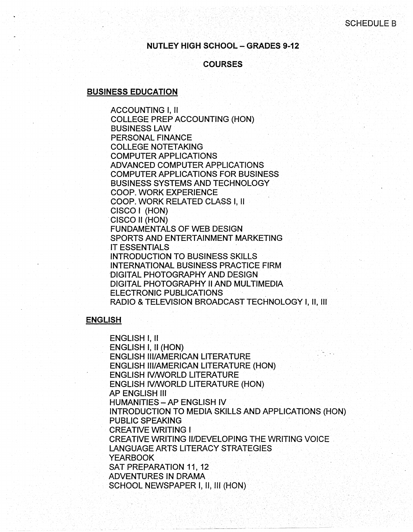## **NUTLEY HIGH SCHOOL~- GRADES 9-12** ··

. 12 J. S. J. J. J. W. W. M. S. M. W. W. W. D. D. W. W. W. W. W. W. W. W.

## **COURSES**

#### **BUSINESS EDUCATION**

ACCOUNTING I, II COLLEGE PREP ACCOUNTING (HON) BUSINESS LAW PERSONAL FINANCE COLLEGE NOTETAKING COMPUTER APPLICATIONS ADVANCED COMPUTER APPLICATIONS COMPUTER APPLICATIONS FOR BUSINESS BUSINESS SYSTEMS AND TECHNOLOGY COOP. WORK EXPERIENCE COOP. WORK RELATED CLASS I, II CISCO I (HON) . CISCO II (HON) FUNDAMENTALS OF WEB DESIGN SPORTS AND ENTERTAINMENT MARKETING IT ESSENTIALS INTRODUCTION TO BUSINESS SKILLS INTERNATIONAL BUSINESS PRACTICE FIRM DIGITAL PHOTOGRAPHY AND DESIGN DIGITAL PHOTOGRAPHY II AND MULTIMEDIA ELECTRONIC PUBLICATIONS . RADIO & TELEVISION BROADCAST TECHNOLOGY I, II, Ill

#### **ENGLISH**

ENGLISH I, II ENGLISH I, II (HON) ENGLISH Ill/AMERICAN LITERATURE ENGLISH Ill/AMERICAN LITERATURE (HON) ENGLISH IVNVORLD LITERATURE ENGLISH IVNVORLD LITERATURE (HON) AP ENGLISH Ill **HUMANITIES - AP ENGLISH IV** INTRODUCTION TO MEDIA SKILLS AND APPLICATIONS (HON) PUBLIC SPEAKING CREATIVE WRITING I CREATIVE WRITING II/DEVELOPING THE WRITING VOICE . LANGUAGE ARTS LITERACY STRATEGIES YEARBOOK SAT PREPARATION 11, 12 ADVENTURES IN DRAMA SCHOOL NEWSPAPER I, II, III (HON)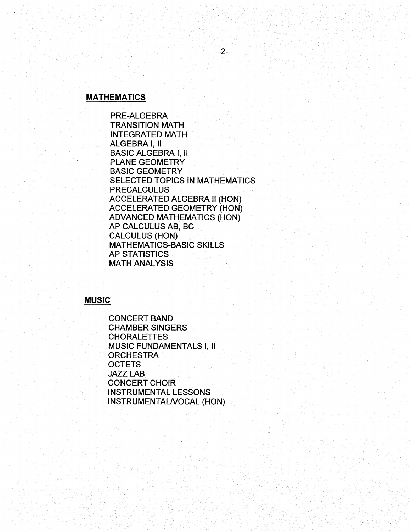## **MATHEMATICS**

PRE-ALGEBRA TRANSITION MATH INTEGRATED MATH ALGEBRA I, II BASIC ALGEBRA I, II PLANE GEOMETRY BASIC GEOMETRY SELECTED TOPICS IN MATHEMATICS **PRECALCULUS** ACCELERATED ALGEBRA II (HON) ACCELERATED GEOMETRY (HON) ADVANCED MATHEMATICS (HON) AP CALCULUS AB, BC CALCULUS (HON) MATHEMATICS-BASIC SKILLS AP STATISTICS MATH ANALYSIS

## **MUSIC**

CONCERT BAND CHAMBER SINGERS CHORALETTES MUSIC FUNDAMENTALS I, II **ORCHESTRA OCTETS** JAZZ LAB CONCERT CHOIR INSTRUMENTAL LESSONS INSTRUMENTALNOCAL (HON)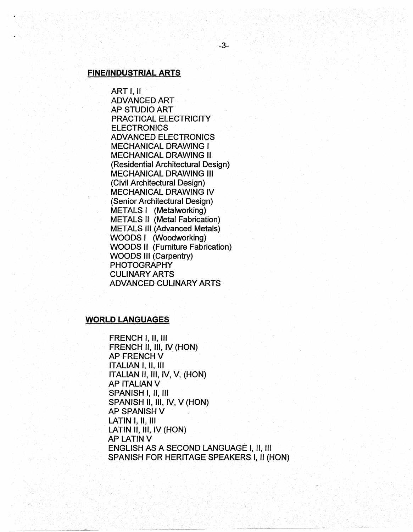#### **FINE/INDUSTRIAL ARTS**

ART I, II ADVANCED ART AP STUDIO ART. PRACTICAL ELECTRICITY **ELECTRONICS** ADVANCED ELECTRONICS · MECHANICAL DRAWING I MECHANICAL DRAWING II (Residential Architectural Design) MECHANICAL DRAWING Ill (Civil Architectural Design) MECHANICAL DRAWING IV (Senior Architectural Design) METALS I (Metalworking) METALS II (Metal Fabrication) METALS Ill (Advanced Metals) WOODS I (Woodworking) WOODS II (Furniture Fabrication) WOODS Ill (Carpentry) PHOTOGRAPHY CULINARY ARTS ADVANCED CULINARY ARTS

#### **WORLD LANGUAGES**

FRENCH I, 11, Ill FRENCH II, III, IV (HON) **AP FRENCH V** ITALIAN I, II, Ill ITALIAN II, III, IV, V, (HON) **AP ITALIAN V** SPANISH I, 11, Ill SPANISH II, III, IV, V (HON) AP SPANISH V LATIN I, II, Ill LATIN II, III, IV (HON) **AP LATIN V** ENGLISH AS A SECOND LANGUAGE I, II, Ill SPANISH FOR HERITAGE SPEAKERS I, II (HON)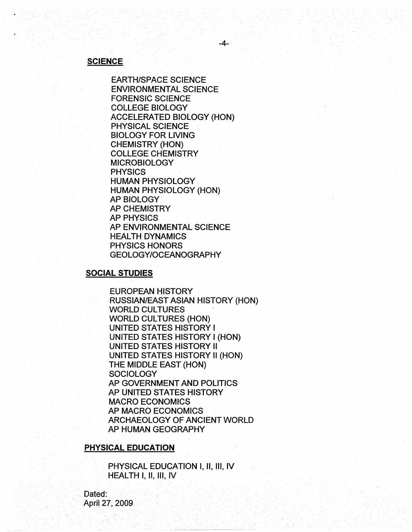#### **SCIENCE**

EARTH/SPACE SCIENCE ENVIRONMENTAL SCIENCE FORENSIC SCIENCE COLLEGE BIOLOGY ACCELERATED BIOLOGY (HON) PHYSICAL SCIENCE BIOLOGY FOR LIVING CHEMISTRY (HON) COLLEGE CHEMISTRY MICROBIOLOGY **PHYSICS** HUMAN PHYSIOLOGY HUMAN PHYSIOLOGY (HON). AP BIOLOGY AP CHEMISTRY AP PHYSICS AP ENVIRONMENTAL SCIENCE **HEALTH DYNAMICS** PHYSICS HONORS GEOLOGY/OCEANOGRAPHY

# **SOCIAL STUDIES**

EUROPEAN HISTORY RUSSIAN/EAST ASIAN HISTORY (HON) WORLD CULTURES WORLD CULTURES (HON) UNITED STATES HISTORY I UNITED STATES HISTORY I (HON) UNITED STATES HISTORY II UNITED STATES HISTORY II (HON) THE MIDDLE EAST (HON) **SOCIOLOGY** AP GOVERNMENT AND POLITICS AP UNITED STATES HISTORY MACRO ECONOMICS AP MACRO ECONOMICS ARCHAEOLOGY OF ANCIENT WORLD AP HUMAN GEOGRAPHY

## **PHYSICAL EDUCATION**

PHYSICAL EDUCATION I, II, Ill, IV HEALTH I, II, III, IV

Dated: April 27, 2009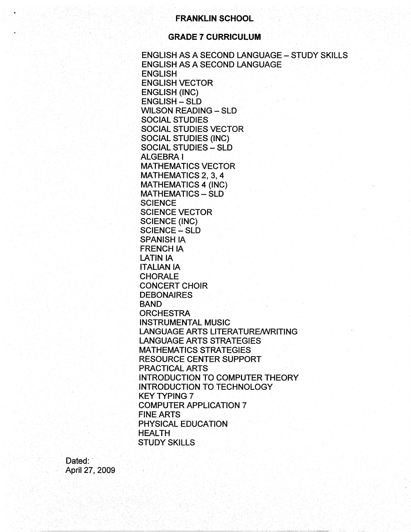#### **GRADE 7 CURRICULUM**

ENGLISH AS A SECOND LANGUAGE - STUDY SKILLS ENGLISH AS A SECOND LANGUAGE **ENGLISH** ENGLISH VECTOR ENGLISH (INC) ENGLISH - SLD WILSON READING - SLD SOCIAL STUDIES SOCIAL STUDIES VECTOR SOCIAL STUDIES (INC) SOCIAL STUDIES - SLD ALGEBRA I MATHEMATICS VECTOR MATHEMATICS 2, 3, 4 MATHEMATICS 4 (INC) MATHEMATICS - SLD **SCIENCE** SCIENCE VECTOR SCIENCE (INC) SCIENCE - SLD SPANISH IA FRENCH IA LATIN IA ITALIAN IA CHORALE -CONCERT CHOIR **DEBONAIRES** BAND **ORCHESTRA** INSTRUMENTAL MUSIC LANGUAGE ARTS LITERATURE/WRITING LANGUAGE ARTS STRATEGIES MATHEMATICS STRATEGIES RESOURCE CENTER SUPPORT PRACTICAL ARTS INTRODUCTION TO COMPUTER THEORY INTRODUCTION TO TECHNOLOGY· **KEY TYPING 7** COMPUTER APPLICATION 7 FINE ARTS PHYSICAL EDUCATION HEALTH STUDY SKILLS

Dated: April 27, 2009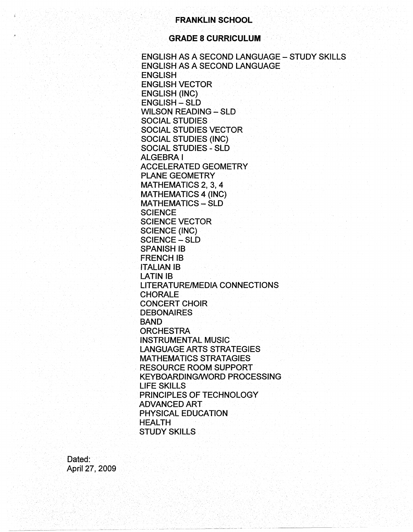## **FRANKLIN SCHOOL**

### **GRADE 8 CURRICULUM**

**ENGLISH AS A SECOND LANGUAGE - STUDY SKILLS** ENGLISH AS A SECOND LANGUAGE ENGLISH ENGLISH VECTOR ENGLISH (INC) ENGLISH - SLD WILSON READING - SLD SOCIAL STUDIES SOCIAL STUDIES VECTOR SOCIAL STUDIES (INC) SOCIAL STUDIES - SLD ALGEBRA I ACCELERATED GEOMETRY PLANE GEOMETRY MATHEMATICS 2, 3, 4 MATHEMATICS 4 (INC) MATHEMATICS - SLD **SCIENCE** SCIENCE VECTOR SCIENCE (INC) SCIENCE – SLD SPANISH 18 FRENCH 18 ITALIAN 18 LATIN 18 LITERATURE/MEDIA CONNECTIONS CHORALE CONCERT CHOIR **DEBONAIRES** BAND **ORCHESTRA** INSTRUMENTAL MUSIC LANGUAGE ARTS STRATEGIES MATHEMATICS STRATAGIES RESOURCE ROOM SUPPORT KEYBOARDING/WORD PROCESSING LIFE SKILLS PRINCIPLES OF TECHNOLOGY ADVANCED ART PHYSICAL EDUCATION **HEALTH** STUDY SKILLS

Dated: April 27, 2009